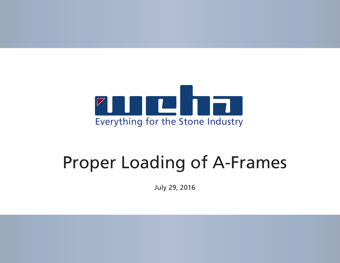

# Proper Loading of A-Frames

July 29, 2016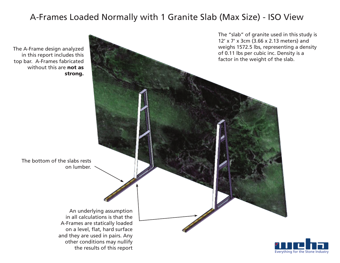# A-Frames Loaded Normally with 1 Granite Slab (Max Size) - ISO View



The A-Frame design analyzed in this report includes this top bar. A-Frames fabricated without this are **not as**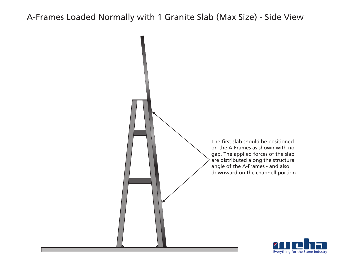### A-Frames Loaded Normally with 1 Granite Slab (Max Size) - Side View



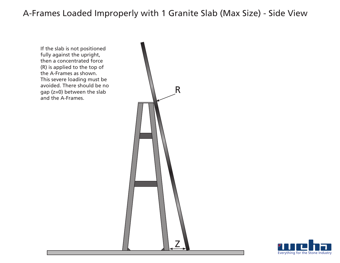#### A-Frames Loaded Improperly with 1 Granite Slab (Max Size) - Side View

If the slab is not positioned fully against the upright, then a concentrated force (R) is applied to the top of the A-Frames as shown. This severe loading must be avoided. There should be no gap (z=0) between the slab and the A-Frames.



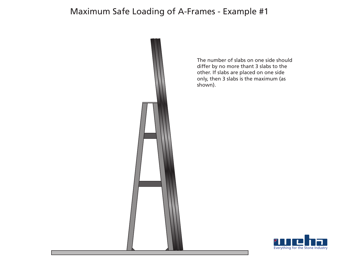## Maximum Safe Loading of A-Frames - Example #1



The number of slabs on one side should differ by no more thant 3 slabs to the other. If slabs are placed on one side only, then 3 slabs is the maximum (as shown).

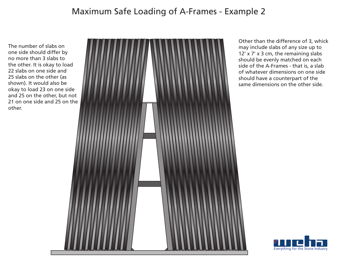# Maximum Safe Loading of A-Frames - Example 2

The number of slabs on one side should differ by no more than 3 slabs to the other. It is okay to load 22 slabs on one side and 25 slabs on the other (as shown). It would also be okay to load 23 on one side and 25 on the other, but not 21 on one side and 25 on the other.



Other than the difference of 3, whick may include slabs of any size up to 12' x 7' x 3 cm, the remaining slabs should be evenly matched on each side of the A-Frames - that is, a slab of whatever dimensions on one side should have a counterpart of the same dimensions on the other side.